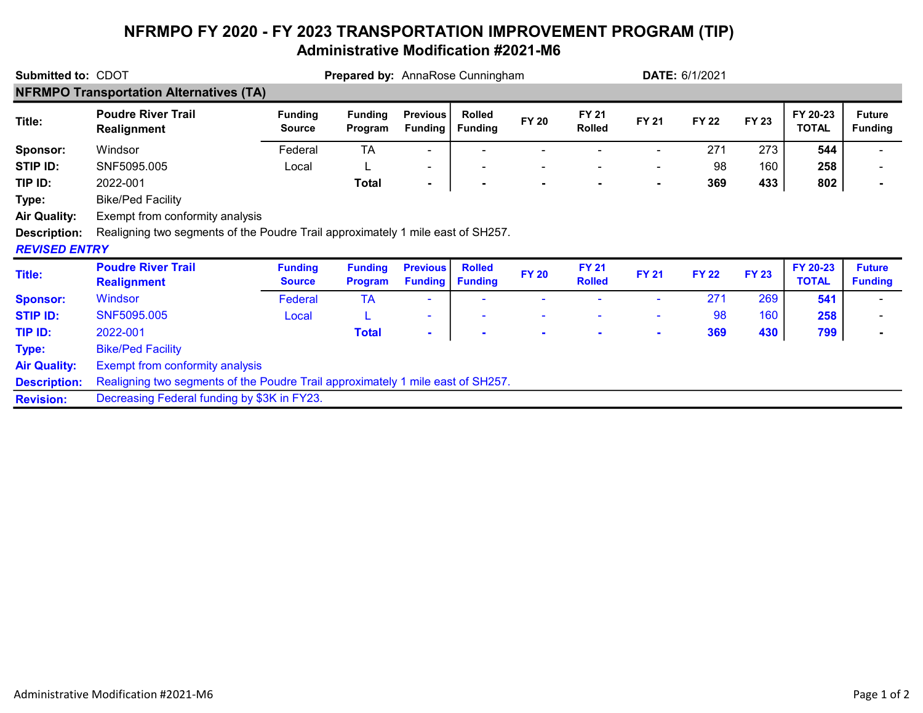## NFRMPO FY 2020 - FY 2023 TRANSPORTATION IMPROVEMENT PROGRAM (TIP) Administrative Modification #2021-M6

| <b>Submitted to: CDOT</b>                      |                                                                                 |                                 | Prepared by: AnnaRose Cunningham |                                   |                                 |                |                               |                | <b>DATE: 6/1/2021</b> |              |                          |                                 |
|------------------------------------------------|---------------------------------------------------------------------------------|---------------------------------|----------------------------------|-----------------------------------|---------------------------------|----------------|-------------------------------|----------------|-----------------------|--------------|--------------------------|---------------------------------|
| <b>NFRMPO Transportation Alternatives (TA)</b> |                                                                                 |                                 |                                  |                                   |                                 |                |                               |                |                       |              |                          |                                 |
| Title:                                         | <b>Poudre River Trail</b><br><b>Realignment</b>                                 | <b>Funding</b><br><b>Source</b> | <b>Funding</b><br>Program        | <b>Previous</b><br><b>Funding</b> | <b>Rolled</b><br><b>Funding</b> | <b>FY 20</b>   | <b>FY 21</b><br><b>Rolled</b> | <b>FY 21</b>   | <b>FY 22</b>          | <b>FY 23</b> | FY 20-23<br><b>TOTAL</b> | <b>Future</b><br><b>Funding</b> |
| Sponsor:                                       | Windsor                                                                         | Federal                         | <b>TA</b>                        | ۰.                                |                                 |                |                               |                | 271                   | 273          | 544                      |                                 |
| STIP ID:                                       | SNF5095.005                                                                     | Local                           |                                  | $\overline{\phantom{a}}$          |                                 | $\blacksquare$ |                               | ۰              | 98                    | 160          | 258                      |                                 |
| TIP ID:                                        | 2022-001                                                                        |                                 | <b>Total</b>                     | $\blacksquare$                    | $\blacksquare$                  | $\blacksquare$ |                               | $\blacksquare$ | 369                   | 433          | 802                      |                                 |
| Type:                                          | <b>Bike/Ped Facility</b>                                                        |                                 |                                  |                                   |                                 |                |                               |                |                       |              |                          |                                 |
| <b>Air Quality:</b>                            | Exempt from conformity analysis                                                 |                                 |                                  |                                   |                                 |                |                               |                |                       |              |                          |                                 |
| <b>Description:</b><br><b>REVISED ENTRY</b>    | Realigning two segments of the Poudre Trail approximately 1 mile east of SH257. |                                 |                                  |                                   |                                 |                |                               |                |                       |              |                          |                                 |
| <b>Title:</b>                                  | <b>Poudre River Trail</b><br><b>Realignment</b>                                 | <b>Funding</b><br><b>Source</b> | <b>Funding</b><br><b>Program</b> | <b>Previous</b><br><b>Funding</b> | <b>Rolled</b><br><b>Funding</b> | <b>FY 20</b>   | <b>FY 21</b><br><b>Rolled</b> | <b>FY 21</b>   | <b>FY 22</b>          | <b>FY 23</b> | FY 20-23<br><b>TOTAL</b> | <b>Future</b><br><b>Funding</b> |
| <b>Sponsor:</b>                                | Windsor                                                                         | Federal                         | <b>TA</b>                        |                                   |                                 |                |                               |                | 271                   | 269          | 541                      |                                 |
| <b>STIP ID:</b>                                | SNF5095.005                                                                     | Local                           |                                  | ÷                                 |                                 |                |                               | $\sim$         | 98                    | 160          | 258                      |                                 |
| TIP ID:                                        | 2022-001                                                                        |                                 | <b>Total</b>                     | $\blacksquare$                    | $\blacksquare$                  | $\blacksquare$ | $\blacksquare$                | $\sim$         | 369                   | 430          | 799                      |                                 |
| Type:                                          | <b>Bike/Ped Facility</b>                                                        |                                 |                                  |                                   |                                 |                |                               |                |                       |              |                          |                                 |
| <b>Air Quality:</b>                            | <b>Exempt from conformity analysis</b>                                          |                                 |                                  |                                   |                                 |                |                               |                |                       |              |                          |                                 |
| <b>Description:</b>                            | Realigning two segments of the Poudre Trail approximately 1 mile east of SH257. |                                 |                                  |                                   |                                 |                |                               |                |                       |              |                          |                                 |
| <b>Revision:</b>                               | Decreasing Federal funding by \$3K in FY23.                                     |                                 |                                  |                                   |                                 |                |                               |                |                       |              |                          |                                 |